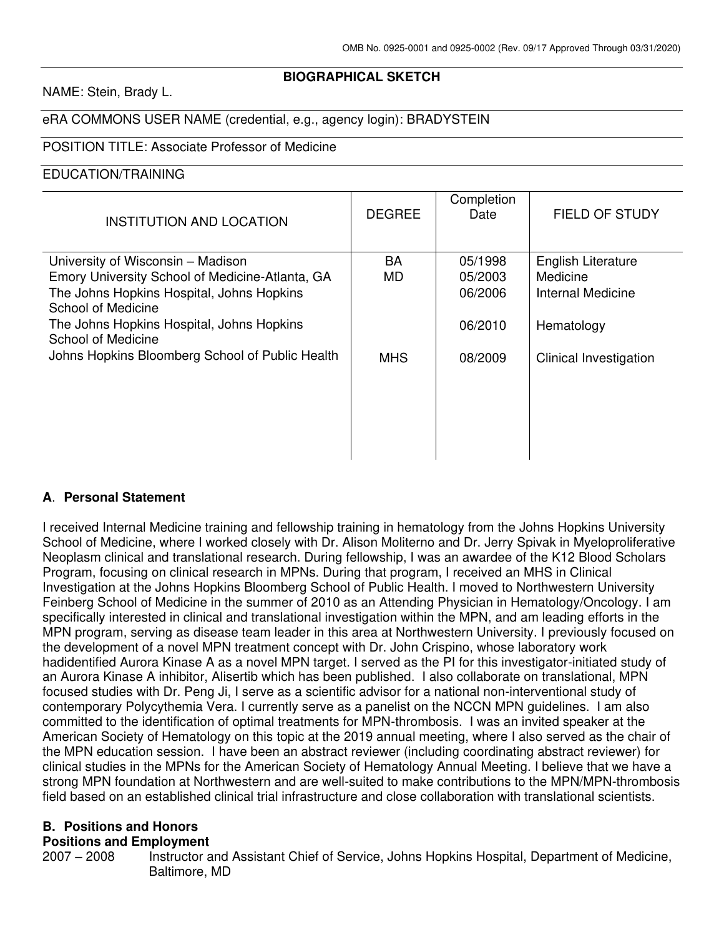# **BIOGRAPHICAL SKETCH**

#### NAME: Stein, Brady L.

### eRA COMMONS USER NAME (credential, e.g., agency login): BRADYSTEIN

#### POSITION TITLE: Associate Professor of Medicine

### EDUCATION/TRAINING

| <b>INSTITUTION AND LOCATION</b>                                 | <b>DEGREE</b> | Completion<br>Date | <b>FIELD OF STUDY</b>         |
|-----------------------------------------------------------------|---------------|--------------------|-------------------------------|
| University of Wisconsin - Madison                               | <b>BA</b>     | 05/1998            | <b>English Literature</b>     |
| Emory University School of Medicine-Atlanta, GA                 | <b>MD</b>     | 05/2003            | Medicine                      |
| The Johns Hopkins Hospital, Johns Hopkins<br>School of Medicine |               | 06/2006            | <b>Internal Medicine</b>      |
| The Johns Hopkins Hospital, Johns Hopkins<br>School of Medicine |               | 06/2010            | Hematology                    |
| Johns Hopkins Bloomberg School of Public Health                 | <b>MHS</b>    | 08/2009            | <b>Clinical Investigation</b> |
|                                                                 |               |                    |                               |
|                                                                 |               |                    |                               |
|                                                                 |               |                    |                               |

# **A**. **Personal Statement**

I received Internal Medicine training and fellowship training in hematology from the Johns Hopkins University School of Medicine, where I worked closely with Dr. Alison Moliterno and Dr. Jerry Spivak in Myeloproliferative Neoplasm clinical and translational research. During fellowship, I was an awardee of the K12 Blood Scholars Program, focusing on clinical research in MPNs. During that program, I received an MHS in Clinical Investigation at the Johns Hopkins Bloomberg School of Public Health. I moved to Northwestern University Feinberg School of Medicine in the summer of 2010 as an Attending Physician in Hematology/Oncology. I am specifically interested in clinical and translational investigation within the MPN, and am leading efforts in the MPN program, serving as disease team leader in this area at Northwestern University. I previously focused on the development of a novel MPN treatment concept with Dr. John Crispino, whose laboratory work hadidentified Aurora Kinase A as a novel MPN target. I served as the PI for this investigator-initiated study of an Aurora Kinase A inhibitor, Alisertib which has been published. I also collaborate on translational, MPN focused studies with Dr. Peng Ji, I serve as a scientific advisor for a national non-interventional study of contemporary Polycythemia Vera. I currently serve as a panelist on the NCCN MPN guidelines. I am also committed to the identification of optimal treatments for MPN-thrombosis. I was an invited speaker at the American Society of Hematology on this topic at the 2019 annual meeting, where I also served as the chair of the MPN education session. I have been an abstract reviewer (including coordinating abstract reviewer) for clinical studies in the MPNs for the American Society of Hematology Annual Meeting. I believe that we have a strong MPN foundation at Northwestern and are well-suited to make contributions to the MPN/MPN-thrombosis field based on an established clinical trial infrastructure and close collaboration with translational scientists.

### **B. Positions and Honors**

#### **Positions and Employment**

2007 – 2008 Instructor and Assistant Chief of Service, Johns Hopkins Hospital, Department of Medicine, Baltimore, MD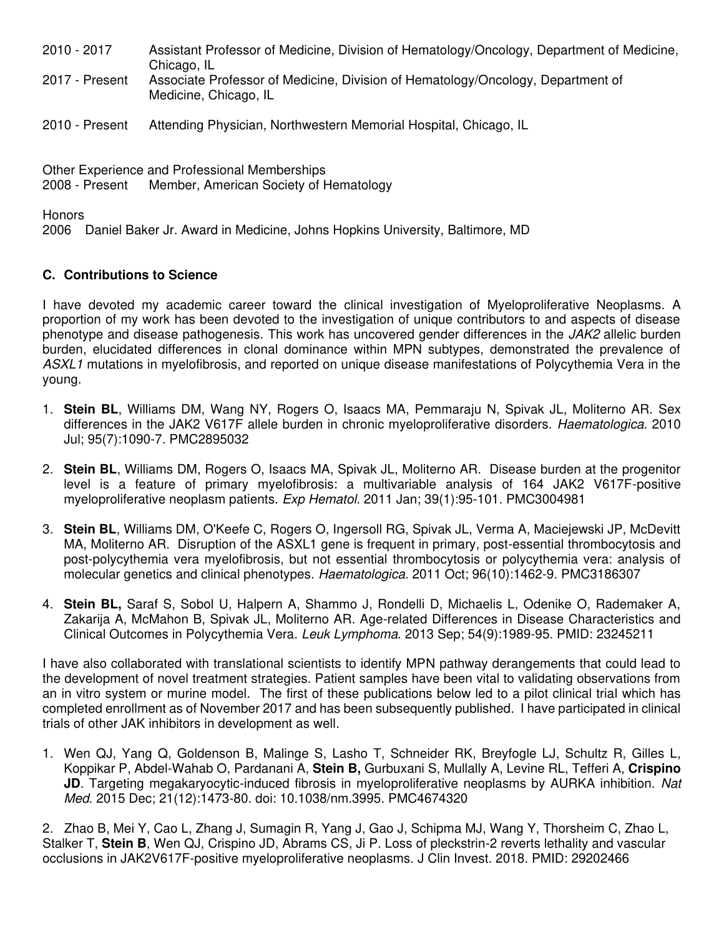| 2010 - 2017    | Assistant Professor of Medicine, Division of Hematology/Oncology, Department of Medicine,<br>Chicago, IL |
|----------------|----------------------------------------------------------------------------------------------------------|
| 2017 - Present | Associate Professor of Medicine, Division of Hematology/Oncology, Department of<br>Medicine, Chicago, IL |

2010 - Present Attending Physician, Northwestern Memorial Hospital, Chicago, IL

Other Experience and Professional Memberships 2008 - Present Member, American Society of Hematology

**Honors** 

2006 Daniel Baker Jr. Award in Medicine, Johns Hopkins University, Baltimore, MD

### **C. Contributions to Science**

I have devoted my academic career toward the clinical investigation of Myeloproliferative Neoplasms. A proportion of my work has been devoted to the investigation of unique contributors to and aspects of disease phenotype and disease pathogenesis. This work has uncovered gender differences in the JAK2 allelic burden burden, elucidated differences in clonal dominance within MPN subtypes, demonstrated the prevalence of ASXL1 mutations in myelofibrosis, and reported on unique disease manifestations of Polycythemia Vera in the young.

- 1. **Stein BL**, Williams DM, Wang NY, Rogers O, Isaacs MA, Pemmaraju N, Spivak JL, Moliterno AR. Sex differences in the JAK2 V617F allele burden in chronic myeloproliferative disorders. Haematologica. 2010 Jul; 95(7):1090-7. PMC2895032
- 2. **Stein BL**, Williams DM, Rogers O, Isaacs MA, Spivak JL, Moliterno AR. Disease burden at the progenitor level is a feature of primary myelofibrosis: a multivariable analysis of 164 JAK2 V617F-positive myeloproliferative neoplasm patients. Exp Hematol. 2011 Jan; 39(1):95-101. PMC3004981
- 3. **Stein BL**, Williams DM, O'Keefe C, Rogers O, Ingersoll RG, Spivak JL, Verma A, Maciejewski JP, McDevitt MA, Moliterno AR. Disruption of the ASXL1 gene is frequent in primary, post-essential thrombocytosis and post-polycythemia vera myelofibrosis, but not essential thrombocytosis or polycythemia vera: analysis of molecular genetics and clinical phenotypes. Haematologica. 2011 Oct; 96(10):1462-9. PMC3186307
- 4. **Stein BL,** Saraf S, Sobol U, Halpern A, Shammo J, Rondelli D, Michaelis L, Odenike O, Rademaker A, Zakarija A, McMahon B, Spivak JL, Moliterno AR. Age-related Differences in Disease Characteristics and Clinical Outcomes in Polycythemia Vera. Leuk Lymphoma. 2013 Sep; 54(9):1989-95. PMID: 23245211

I have also collaborated with translational scientists to identify MPN pathway derangements that could lead to the development of novel treatment strategies. Patient samples have been vital to validating observations from an in vitro system or murine model. The first of these publications below led to a pilot clinical trial which has completed enrollment as of November 2017 and has been subsequently published. I have participated in clinical trials of other JAK inhibitors in development as well.

1. Wen QJ, Yang Q, Goldenson B, Malinge S, Lasho T, Schneider RK, Breyfogle LJ, Schultz R, Gilles L, Koppikar P, Abdel-Wahab O, Pardanani A, **Stein B,** Gurbuxani S, Mullally A, Levine RL, Tefferi A, **Crispino JD**. Targeting megakaryocytic-induced fibrosis in myeloproliferative neoplasms by AURKA inhibition. Nat Med. 2015 Dec; 21(12):1473-80. doi: 10.1038/nm.3995. PMC4674320

2. Zhao B, Mei Y, Cao L, Zhang J, Sumagin R, Yang J, Gao J, Schipma MJ, Wang Y, Thorsheim C, Zhao L, Stalker T, **Stein B**, Wen QJ, Crispino JD, Abrams CS, Ji P. Loss of pleckstrin-2 reverts lethality and vascular occlusions in JAK2V617F-positive myeloproliferative neoplasms. J Clin Invest. 2018. PMID: 29202466